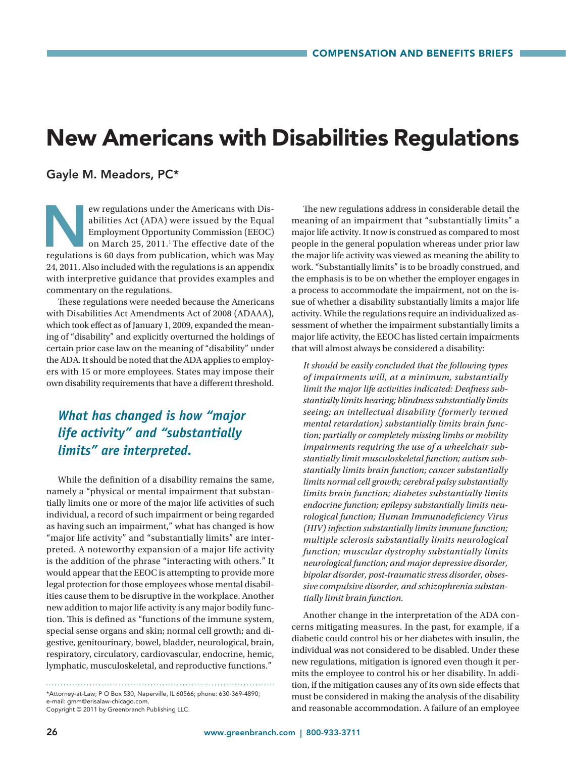# New Americans with Disabilities Regulations

#### Gayle M. Meadors, PC\*

ew regulations under the Americans with Disabilities Act (ADA) were issued by the Equal Employment Opportunity Commission (EEOC) on March 25, 2011.<sup>1</sup> The effective date of the regulations is 60 days from publication, whic abilities Act (ADA) were issued by the Equal Employment Opportunity Commission (EEOC) on March 25, 2011.<sup>1</sup> The effective date of the 24, 2011. Also included with the regulations is an appendix with interpretive guidance that provides examples and commentary on the regulations.

These regulations were needed because the Americans with Disabilities Act Amendments Act of 2008 (ADAAA), which took effect as of January 1, 2009, expanded the meaning of "disability" and explicitly overturned the holdings of certain prior case law on the meaning of "disability" under the ADA. It should be noted that the ADA applies to employers with 15 or more employees. States may impose their own disability requirements that have a different threshold.

## *What has changed is how "major life activity" and "substantially limits" are interpreted.*

While the definition of a disability remains the same, namely a "physical or mental impairment that substantially limits one or more of the major life activities of such individual, a record of such impairment or being regarded as having such an impairment," what has changed is how "major life activity" and "substantially limits" are interpreted. A noteworthy expansion of a major life activity is the addition of the phrase "interacting with others." It would appear that the EEOC is attempting to provide more legal protection for those employees whose mental disabilities cause them to be disruptive in the workplace. Another new addition to major life activity is any major bodily function. This is defined as "functions of the immune system, special sense organs and skin; normal cell growth; and digestive, genitourinary, bowel, bladder, neurological, brain, respiratory, circulatory, cardiovascular, endocrine, hemic, lymphatic, musculoskeletal, and reproductive functions."

\*Attorney-at-Law; P O Box 530, Naperville, IL 60566; phone: 630-369-4890; e-mail: gmm@erisalaw-chicago.com. Copyright © 2011 by Greenbranch Publishing LLC.

The new regulations address in considerable detail the meaning of an impairment that "substantially limits" a major life activity. It now is construed as compared to most people in the general population whereas under prior law the major life activity was viewed as meaning the ability to work. "Substantially limits" is to be broadly construed, and the emphasis is to be on whether the employer engages in a process to accommodate the impairment, not on the issue of whether a disability substantially limits a major life activity. While the regulations require an individualized assessment of whether the impairment substantially limits a major life activity, the EEOC has listed certain impairments that will almost always be considered a disability:

*It should be easily concluded that the following types of impairments will, at a minimum, substantially limit the major life activities indicated: Deafness substantially limits hearing; blindness substantially limits seeing; an intellectual disability (formerly termed mental retardation) substantially limits brain function; partially or completely missing limbs or mobility impairments requiring the use of a wheelchair substantially limit musculoskeletal function; autism substantially limits brain function; cancer substantially limits normal cell growth; cerebral palsy substantially limits brain function; diabetes substantially limits endocrine function; epilepsy substantially limits neurological function; Human Immunodeficiency Virus (HIV) infection substantially limits immune function; multiple sclerosis substantially limits neurological function; muscular dystrophy substantially limits neurological function; and major depressive disorder, bipolar disorder, post-traumatic stress disorder, obsessive compulsive disorder, and schizophrenia substantially limit brain function.*

Another change in the interpretation of the ADA concerns mitigating measures. In the past, for example, if a diabetic could control his or her diabetes with insulin, the individual was not considered to be disabled. Under these new regulations, mitigation is ignored even though it permits the employee to control his or her disability. In addition, if the mitigation causes any of its own side effects that must be considered in making the analysis of the disability and reasonable accommodation. A failure of an employee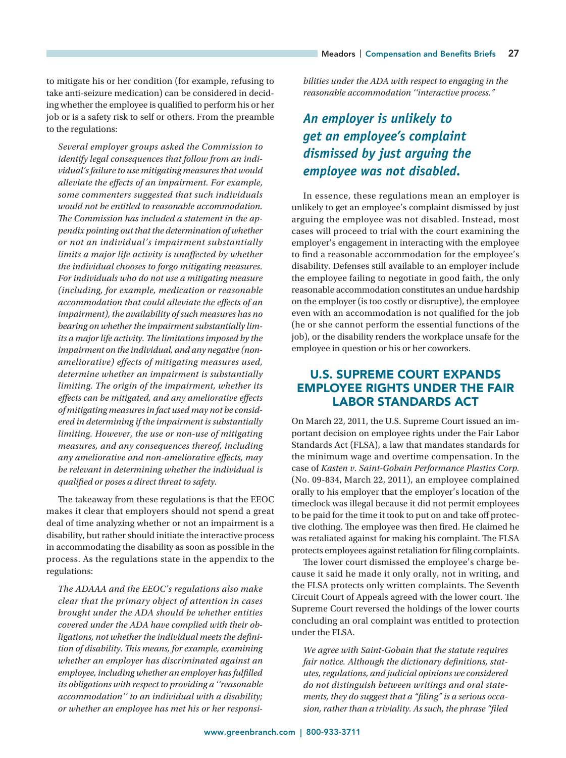to mitigate his or her condition (for example, refusing to take anti-seizure medication) can be considered in deciding whether the employee is qualified to perform his or her job or is a safety risk to self or others. From the preamble to the regulations:

*Several employer groups asked the Commission to identify legal consequences that follow from an individual's failure to use mitigating measures that would alleviate the effects of an impairment. For example, some commenters suggested that such individuals would not be entitled to reasonable accommodation. The Commission has included a statement in the appendix pointing out that the determination of whether or not an individual's impairment substantially limits a major life activity is unaffected by whether the individual chooses to forgo mitigating measures. For individuals who do not use a mitigating measure (including, for example, medication or reasonable accommodation that could alleviate the effects of an impairment), the availability of such measures has no bearing on whether the impairment substantially limits a major life activity. The limitations imposed by the impairment on the individual, and any negative (nonameliorative) effects of mitigating measures used, determine whether an impairment is substantially limiting. The origin of the impairment, whether its effects can be mitigated, and any ameliorative effects of mitigating measures in fact used may not be considered in determining if the impairment is substantially limiting. However, the use or non-use of mitigating measures, and any consequences thereof, including any ameliorative and non-ameliorative effects, may be relevant in determining whether the individual is qualified or poses a direct threat to safety.*

The takeaway from these regulations is that the EEOC makes it clear that employers should not spend a great deal of time analyzing whether or not an impairment is a disability, but rather should initiate the interactive process in accommodating the disability as soon as possible in the process. As the regulations state in the appendix to the regulations:

*The ADAAA and the EEOC's regulations also make clear that the primary object of attention in cases brought under the ADA should be whether entities covered under the ADA have complied with their obligations, not whether the individual meets the definition of disability. This means, for example, examining whether an employer has discriminated against an employee, including whether an employer has fulfilled its obligations with respect to providing a ''reasonable accommodation'' to an individual with a disability; or whether an employee has met his or her responsi-* *bilities under the ADA with respect to engaging in the reasonable accommodation ''interactive process."*

# *An employer is unlikely to get an employee's complaint dismissed by just arguing the employee was not disabled.*

In essence, these regulations mean an employer is unlikely to get an employee's complaint dismissed by just arguing the employee was not disabled. Instead, most cases will proceed to trial with the court examining the employer's engagement in interacting with the employee to find a reasonable accommodation for the employee's disability. Defenses still available to an employer include the employee failing to negotiate in good faith, the only reasonable accommodation constitutes an undue hardship on the employer (is too costly or disruptive), the employee even with an accommodation is not qualified for the job (he or she cannot perform the essential functions of the job), or the disability renders the workplace unsafe for the employee in question or his or her coworkers.

## U.S. SUPREME COURT EXPANDS EMPLOYEE RIGHTS UNDER THE FAIR LABOR STANDARDS ACT

On March 22, 2011, the U.S. Supreme Court issued an important decision on employee rights under the Fair Labor Standards Act (FLSA), a law that mandates standards for the minimum wage and overtime compensation. In the case of *Kasten v. Saint-Gobain Performance Plastics Corp.* (No. 09-834, March 22, 2011), an employee complained orally to his employer that the employer's location of the timeclock was illegal because it did not permit employees to be paid for the time it took to put on and take off protective clothing. The employee was then fired. He claimed he was retaliated against for making his complaint. The FLSA protects employees against retaliation for filing complaints.

The lower court dismissed the employee's charge because it said he made it only orally, not in writing, and the FLSA protects only written complaints. The Seventh Circuit Court of Appeals agreed with the lower court. The Supreme Court reversed the holdings of the lower courts concluding an oral complaint was entitled to protection under the FLSA.

*We agree with Saint-Gobain that the statute requires fair notice. Although the dictionary definitions, statutes, regulations, and judicial opinions we considered do not distinguish between writings and oral statements, they do suggest that a "filing" is a serious occasion, rather than a triviality. As such, the phrase "filed*